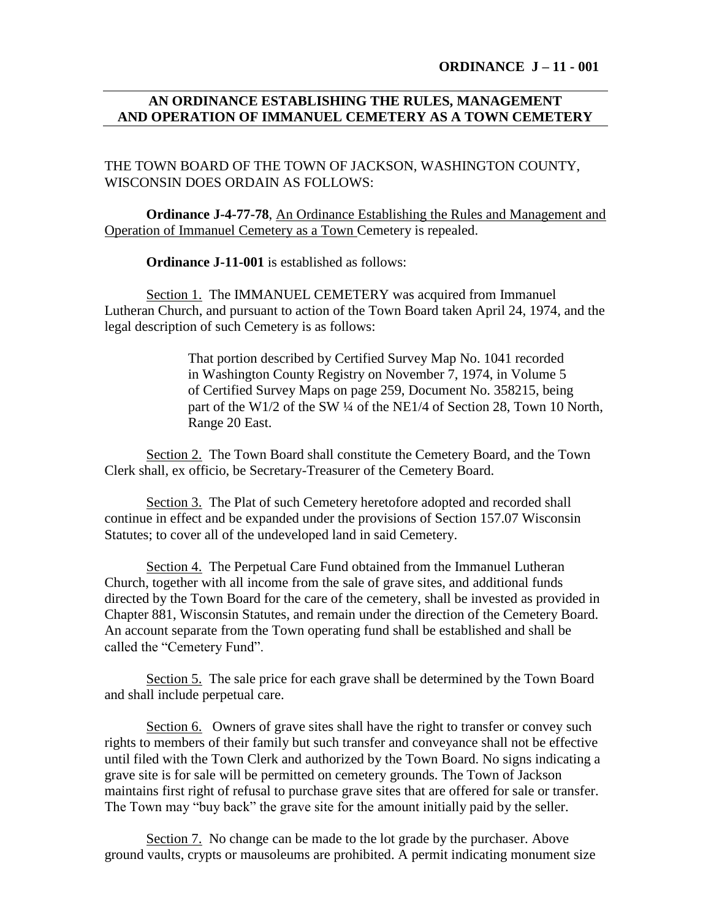**ORDINANCE J – 11 - 001**

## **AN ORDINANCE ESTABLISHING THE RULES, MANAGEMENT AND OPERATION OF IMMANUEL CEMETERY AS A TOWN CEMETERY**

THE TOWN BOARD OF THE TOWN OF JACKSON, WASHINGTON COUNTY, WISCONSIN DOES ORDAIN AS FOLLOWS:

**Ordinance J-4-77-78**, An Ordinance Establishing the Rules and Management and Operation of Immanuel Cemetery as a Town Cemetery is repealed.

**Ordinance J-11-001** is established as follows:

Section 1. The IMMANUEL CEMETERY was acquired from Immanuel Lutheran Church, and pursuant to action of the Town Board taken April 24, 1974, and the legal description of such Cemetery is as follows:

> That portion described by Certified Survey Map No. 1041 recorded in Washington County Registry on November 7, 1974, in Volume 5 of Certified Survey Maps on page 259, Document No. 358215, being part of the W1/2 of the SW ¼ of the NE1/4 of Section 28, Town 10 North, Range 20 East.

Section 2. The Town Board shall constitute the Cemetery Board, and the Town Clerk shall, ex officio, be Secretary-Treasurer of the Cemetery Board.

Section 3. The Plat of such Cemetery heretofore adopted and recorded shall continue in effect and be expanded under the provisions of Section 157.07 Wisconsin Statutes; to cover all of the undeveloped land in said Cemetery.

Section 4. The Perpetual Care Fund obtained from the Immanuel Lutheran Church, together with all income from the sale of grave sites, and additional funds directed by the Town Board for the care of the cemetery, shall be invested as provided in Chapter 881, Wisconsin Statutes, and remain under the direction of the Cemetery Board. An account separate from the Town operating fund shall be established and shall be called the "Cemetery Fund".

Section 5. The sale price for each grave shall be determined by the Town Board and shall include perpetual care.

Section 6. Owners of grave sites shall have the right to transfer or convey such rights to members of their family but such transfer and conveyance shall not be effective until filed with the Town Clerk and authorized by the Town Board. No signs indicating a grave site is for sale will be permitted on cemetery grounds. The Town of Jackson maintains first right of refusal to purchase grave sites that are offered for sale or transfer. The Town may "buy back" the grave site for the amount initially paid by the seller.

Section 7. No change can be made to the lot grade by the purchaser. Above ground vaults, crypts or mausoleums are prohibited. A permit indicating monument size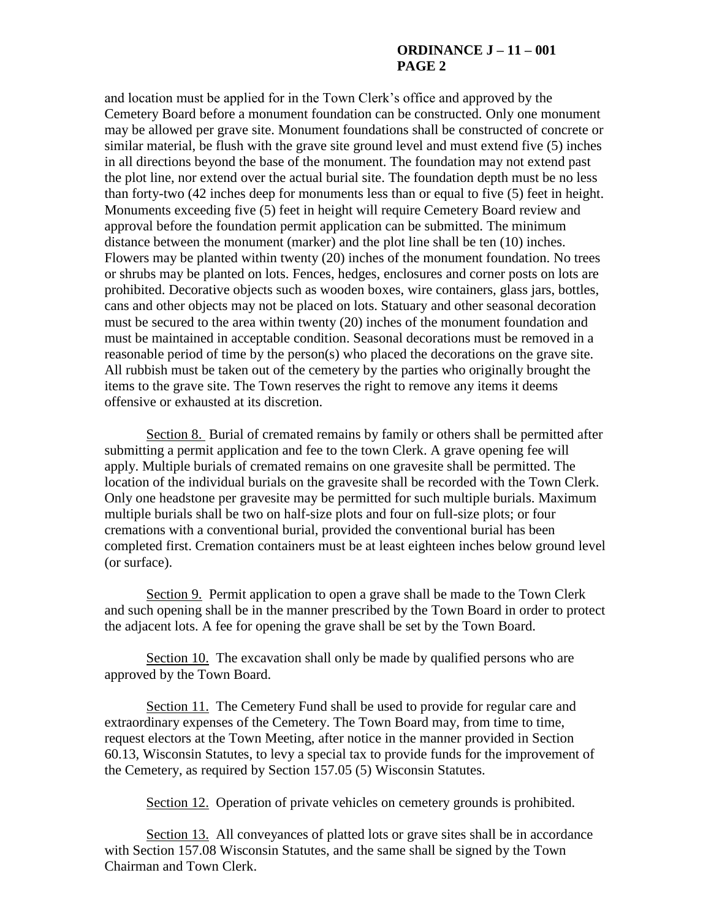## **ORDINANCE J – 11 – 001 PAGE 2**

and location must be applied for in the Town Clerk's office and approved by the Cemetery Board before a monument foundation can be constructed. Only one monument may be allowed per grave site. Monument foundations shall be constructed of concrete or similar material, be flush with the grave site ground level and must extend five (5) inches in all directions beyond the base of the monument. The foundation may not extend past the plot line, nor extend over the actual burial site. The foundation depth must be no less than forty-two (42 inches deep for monuments less than or equal to five (5) feet in height. Monuments exceeding five (5) feet in height will require Cemetery Board review and approval before the foundation permit application can be submitted. The minimum distance between the monument (marker) and the plot line shall be ten (10) inches. Flowers may be planted within twenty (20) inches of the monument foundation. No trees or shrubs may be planted on lots. Fences, hedges, enclosures and corner posts on lots are prohibited. Decorative objects such as wooden boxes, wire containers, glass jars, bottles, cans and other objects may not be placed on lots. Statuary and other seasonal decoration must be secured to the area within twenty (20) inches of the monument foundation and must be maintained in acceptable condition. Seasonal decorations must be removed in a reasonable period of time by the person(s) who placed the decorations on the grave site. All rubbish must be taken out of the cemetery by the parties who originally brought the items to the grave site. The Town reserves the right to remove any items it deems offensive or exhausted at its discretion.

Section 8. Burial of cremated remains by family or others shall be permitted after submitting a permit application and fee to the town Clerk. A grave opening fee will apply. Multiple burials of cremated remains on one gravesite shall be permitted. The location of the individual burials on the gravesite shall be recorded with the Town Clerk. Only one headstone per gravesite may be permitted for such multiple burials. Maximum multiple burials shall be two on half-size plots and four on full-size plots; or four cremations with a conventional burial, provided the conventional burial has been completed first. Cremation containers must be at least eighteen inches below ground level (or surface).

Section 9. Permit application to open a grave shall be made to the Town Clerk and such opening shall be in the manner prescribed by the Town Board in order to protect the adjacent lots. A fee for opening the grave shall be set by the Town Board.

Section 10. The excavation shall only be made by qualified persons who are approved by the Town Board.

Section 11. The Cemetery Fund shall be used to provide for regular care and extraordinary expenses of the Cemetery. The Town Board may, from time to time, request electors at the Town Meeting, after notice in the manner provided in Section 60.13, Wisconsin Statutes, to levy a special tax to provide funds for the improvement of the Cemetery, as required by Section 157.05 (5) Wisconsin Statutes.

Section 12. Operation of private vehicles on cemetery grounds is prohibited.

Section 13. All conveyances of platted lots or grave sites shall be in accordance with Section 157.08 Wisconsin Statutes, and the same shall be signed by the Town Chairman and Town Clerk.